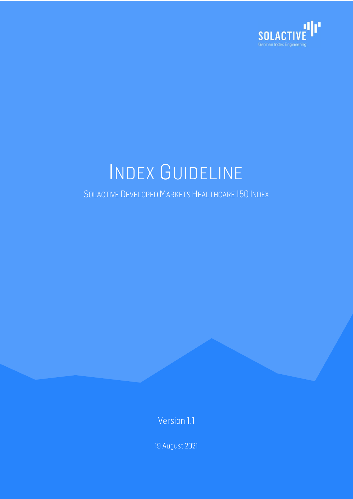

# INDEX GUIDELINE

### SOLACTIVE DEVELOPED MARKETS HEALTHCARE 150 INDEX

Version 1.1

19 August 2021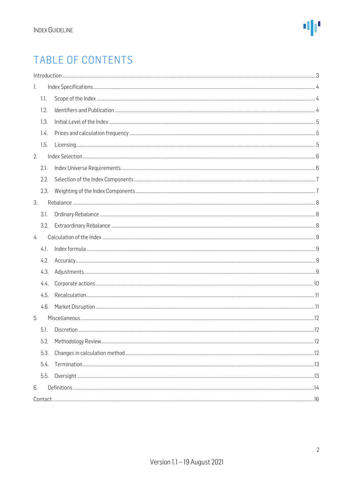# TABLE OF CONTENTS

|      | $\label{f:1} \mbox{Introduction} \,\, \ldots \,\, \ldots \,\, \ldots \,\, \ldots \,\, \ldots \,\, \ldots \,\, \ldots \,\, \ldots \,\, \ldots \,\, \ldots \,\, \ldots \,\, \ldots \,\, \ldots \,\, \ldots \,\, \ldots \,\, \ldots \,\, \ldots \,\, \ldots \,\, \ldots \,\, \ldots \,\, \ldots \,\, \ldots \,\, \ldots \,\, \ldots \,\, \ldots \,\, \ldots \,\, \ldots \,\, \ldots \,\, \ldots \,\, \ldots \,\, \ldots \,\, \ldots \,\, \ldots \,\, \ldots \,\,$ |  |
|------|----------------------------------------------------------------------------------------------------------------------------------------------------------------------------------------------------------------------------------------------------------------------------------------------------------------------------------------------------------------------------------------------------------------------------------------------------------------|--|
| 1.   |                                                                                                                                                                                                                                                                                                                                                                                                                                                                |  |
| 1.1. |                                                                                                                                                                                                                                                                                                                                                                                                                                                                |  |
| 1.2. |                                                                                                                                                                                                                                                                                                                                                                                                                                                                |  |
| 1.3. |                                                                                                                                                                                                                                                                                                                                                                                                                                                                |  |
| 1.4. |                                                                                                                                                                                                                                                                                                                                                                                                                                                                |  |
| 1.5. |                                                                                                                                                                                                                                                                                                                                                                                                                                                                |  |
| 2.   |                                                                                                                                                                                                                                                                                                                                                                                                                                                                |  |
| 2.1. |                                                                                                                                                                                                                                                                                                                                                                                                                                                                |  |
| 2.2. |                                                                                                                                                                                                                                                                                                                                                                                                                                                                |  |
| 2.3. |                                                                                                                                                                                                                                                                                                                                                                                                                                                                |  |
| 3.   |                                                                                                                                                                                                                                                                                                                                                                                                                                                                |  |
| 3.1. |                                                                                                                                                                                                                                                                                                                                                                                                                                                                |  |
| 3.2. |                                                                                                                                                                                                                                                                                                                                                                                                                                                                |  |
| 4.   |                                                                                                                                                                                                                                                                                                                                                                                                                                                                |  |
| 4.1. |                                                                                                                                                                                                                                                                                                                                                                                                                                                                |  |
| 4.2. |                                                                                                                                                                                                                                                                                                                                                                                                                                                                |  |
| 4.3. |                                                                                                                                                                                                                                                                                                                                                                                                                                                                |  |
| 4.4. |                                                                                                                                                                                                                                                                                                                                                                                                                                                                |  |
| 4.5. |                                                                                                                                                                                                                                                                                                                                                                                                                                                                |  |
| 4.6. |                                                                                                                                                                                                                                                                                                                                                                                                                                                                |  |
| 5.   |                                                                                                                                                                                                                                                                                                                                                                                                                                                                |  |
| 5.1. |                                                                                                                                                                                                                                                                                                                                                                                                                                                                |  |
| 5.2. |                                                                                                                                                                                                                                                                                                                                                                                                                                                                |  |
| 5.3. |                                                                                                                                                                                                                                                                                                                                                                                                                                                                |  |
| 5.4. |                                                                                                                                                                                                                                                                                                                                                                                                                                                                |  |
| 5.5. |                                                                                                                                                                                                                                                                                                                                                                                                                                                                |  |
| 6.   |                                                                                                                                                                                                                                                                                                                                                                                                                                                                |  |
|      |                                                                                                                                                                                                                                                                                                                                                                                                                                                                |  |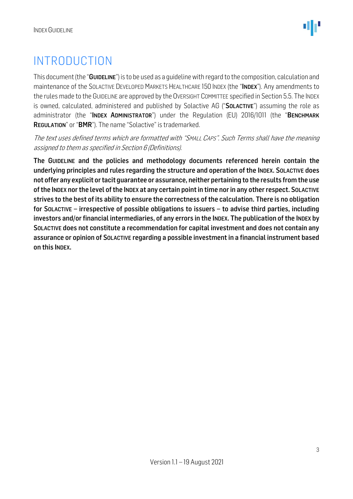# <span id="page-2-0"></span>INTRODUCTION

This document (the "GUIDELINE") is to be used as a quideline with regard to the composition, calculation and maintenance of the SOLACTIVE DEVELOPED MARKETS HEALTHCARE 150 INDEX (the "INDEX"). Any amendments to the rules made to the GUIDELINE are approved by the OVERSIGHT COMMITTEE specified in Section 5.5. The INDEX is owned, calculated, administered and published by Solactive AG ("SOLACTIVE") assuming the role as administrator (the "INDEX ADMINISTRATOR") under the Regulation (EU) 2016/1011 (the "BENCHMARK REGULATION" or "BMR"). The name "Solactive" is trademarked.

The text uses defined terms which are formatted with "SMALL CAPS". Such Terms shall have the meaning assigned to them as specified in Section 6 (Definitions).

The GUIDELINE and the policies and methodology documents referenced herein contain the underlying principles and rules regarding the structure and operation of the INDEX. SOLACTIVE does not offer any explicit or tacit guarantee or assurance, neither pertaining to the results from the use of the INDEX nor the level of the INDEX at any certain point in time nor in any other respect. SOLACTIVE strives to the best of its ability to ensure the correctness of the calculation. There is no obligation for SOLACTIVE – irrespective of possible obligations to issuers – to advise third parties, including investors and/or financial intermediaries, of any errors in the INDEX. The publication of the INDEX by SOLACTIVE does not constitute a recommendation for capital investment and does not contain any assurance or opinion of SOLACTIVE regarding a possible investment in a financial instrument based on this INDEX.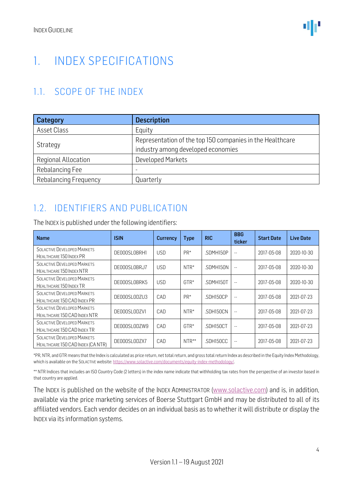# <span id="page-3-0"></span>1. INDEX SPECIFICATIONS

### <span id="page-3-1"></span>1.1. SCOPE OF THE INDEX

| Category              | <b>Description</b>                                                                              |  |  |  |  |  |
|-----------------------|-------------------------------------------------------------------------------------------------|--|--|--|--|--|
| Asset Class           | Equity                                                                                          |  |  |  |  |  |
| Strategy              | Representation of the top 150 companies in the Healthcare<br>industry among developed economies |  |  |  |  |  |
| Regional Allocation   | <b>Developed Markets</b>                                                                        |  |  |  |  |  |
| Rebalancing Fee       | -                                                                                               |  |  |  |  |  |
| Rebalancing Frequency | Quarterly                                                                                       |  |  |  |  |  |

### <span id="page-3-2"></span>1.2. IDENTIFIERS AND PUBLICATION

| <b>Name</b>                                                        | <b>ISIN</b>  | <b>Currency</b> | <b>Type</b> | <b>RIC</b> | <b>BBG</b><br>ticker | <b>Start Date</b> | <b>Live Date</b> |
|--------------------------------------------------------------------|--------------|-----------------|-------------|------------|----------------------|-------------------|------------------|
| <b>SOLACTIVE DEVELOPED MARKETS</b><br>HEALTHCARE 150 INDEX PR      | DE000SL0BRH1 | <b>USD</b>      | PR*         | SDMH150P   | $\sim$ $\sim$        | 2017-05-08        | 2020-10-30       |
| <b>SOLACTIVE DEVELOPED MARKETS</b><br>HEALTHCARE 150 INDEX NTR     | DE000SL0BRJ7 | <b>USD</b>      | $NTR*$      | .SDMH150N  | $\sim$ $\sim$        | 2017-05-08        | 2020-10-30       |
| <b>SOLACTIVE DEVELOPED MARKETS</b><br>HEALTHCARE 150 INDEX TR      | DE000SL0BRK5 | <b>USD</b>      | $GTR*$      | .SDMH150T  | $\frac{1}{2}$        | 2017-05-08        | 2020-10-30       |
| <b>SOLACTIVE DEVELOPED MARKETS</b><br>HEALTHCARE 150 CAD INDEX PR  | DE000SL0DZU3 | CAD             | PR*         | SDH150CP   | $\sim$ $-$           | 2017-05-08        | 2021-07-23       |
| <b>SOLACTIVE DEVELOPED MARKETS</b><br>HEALTHCARE 150 CAD INDEX NTR | DE000SL0DZV1 | CAD             | $NTR*$      | .SDH150CN  | $\frac{1}{2}$        | 2017-05-08        | 2021-07-23       |
| <b>SOLACTIVE DEVELOPED MARKETS</b><br>HEALTHCARE 150 CAD INDEX TR  | DE000SL0DZW9 | CAD             | $GTR*$      | .SDH150CT  | $\sim$ $-$           | 2017-05-08        | 2021-07-23       |
| SOLACTIVE DEVELOPED MARKETS<br>HEALTHCARE 150 CAD INDEX (CANTR)    | DE000SL0DZX7 | CAD             | $NTR**$     | .SDH150CC  | $- -$                | 2017-05-08        | 2021-07-23       |

\*PR, NTR, and GTR means that the Index is calculated as price return, net total return, and gross total return Index as described in the Equity Index Methodology, which is available on the SOLACTIVE website: [https://www.solactive.com/documents/equity-index-methodology/.](https://www.solactive.com/documents/equity-index-methodology/)

\*\* NTR Indices that includes an ISO Country Code (2 letters) in the index name indicate that withholding tax rates from the perspective of an investor based in that country are applied.

The INDEX is published on the website of the INDEX ADMINISTRATOR [\(www.solactive.com\)](http://www.solactive.com/) and is, in addition, available via the price marketing services of Boerse Stuttgart GmbH and may be distributed to all of its affiliated vendors. Each vendor decides on an individual basis as to whether it will distribute or display the INDEX via its information systems.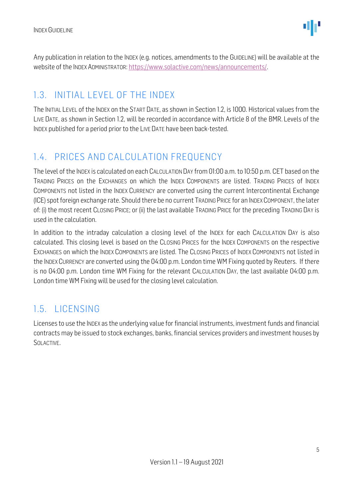Any publication in relation to the INDEX (e.g. notices, amendments to the GUIDELINE) will be available at the website of the INDEX ADMINISTRATOR: [https://www.solactive.com/news/announcements/.](https://www.solactive.com/news/announcements/)

### <span id="page-4-0"></span>1.3. INITIAL LEVEL OF THE INDEX

The INITIAL LEVEL of the INDEX on the START DATE, as shown in Section 1.2, is 1000. Historical values from the LIVE DATE, as shown in Section 1.2, will be recorded in accordance with Article 8 of the BMR. Levels of the INDEX published for a period prior to the LIVE DATE have been back-tested.

### <span id="page-4-1"></span>1.4. PRICES AND CALCULATION FREQUENCY

The level of the INDEX is calculated on each CALCULATION DAY from 01:00 a.m. to 10:50 p.m. CET based on the TRADING PRICES on the EXCHANGES on which the INDEX COMPONENTS are listed. TRADING PRICES of INDEX COMPONENTS not listed in the INDEX CURRENCY are converted using the current Intercontinental Exchange (ICE) spot foreign exchange rate. Should there be no current TRADING PRICE for an INDEXCOMPONENT, the later of: (i) the most recent CLOSING PRICE; or (ii) the last available TRADING PRICE for the preceding TRADING DAY is used in the calculation.

In addition to the intraday calculation a closing level of the INDEX for each CALCULATION DAY is also calculated. This closing level is based on the CLOSING PRICES for the INDEX COMPONENTS on the respective EXCHANGES on which the INDEX COMPONENTS are listed. The CLOSING PRICES of INDEX COMPONENTS not listed in the INDEX CURRENCY are converted using the 04:00 p.m. London time WM Fixing quoted by Reuters. If there is no 04:00 p.m. London time WM Fixing for the relevant CALCULATION DAY, the last available 04:00 p.m. London time WM Fixing will be used for the closing level calculation.

### <span id="page-4-2"></span>1.5. LICENSING

Licenses to use the INDEX as the underlying value for financial instruments, investment funds and financial contracts may be issued to stock exchanges, banks, financial services providers and investment houses by SOLACTIVE.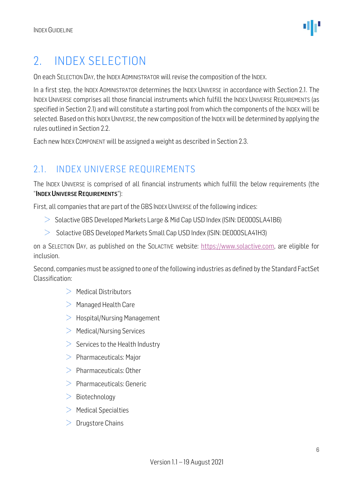# <span id="page-5-0"></span>2. INDEX SELECTION

On each SELECTION DAY, the INDEX ADMINISTRATOR will revise the composition of the INDEX.

In a first step, the INDEX ADMINISTRATOR determines the INDEX UNIVERSE in accordance with Section 2.1. The INDEX UNIVERSE comprises all those financial instruments which fulfill the INDEX UNIVERSE REQUIREMENTS (as specified in Section 2.1) and will constitute a starting pool from which the components of the INDEX will be selected. Based on this INDEX UNIVERSE, the new composition of the INDEX will be determined by applying the rules outlined in Section 2.2.

Each new INDEX COMPONENT will be assigned a weight as described in Section 2.3.

### <span id="page-5-1"></span>2.1. INDEX UNIVERSE REQUIREMENTS

The INDEX UNIVERSE is comprised of all financial instruments which fulfill the below requirements (the "INDEX UNIVERSE REQUIREMENTS"):

First, all companies that are part of the GBS INDEX UNIVERSE of the following indices:

- $>$  Solactive GBS Developed Markets Large & Mid Cap USD Index (ISIN: DE000SLA41B6)
- $>$  Solactive GBS Developed Markets Small Cap USD Index (ISIN: DE000SLA41H3)

on a SELECTION DAY, as published on the SOLACTIVE website: [https://www.solactive.com,](https://www.solactive.com/) are eligible for inclusion.

Second, companies must be assigned to one of the following industries as defined by the Standard FactSet Classification:

- $>$  Medical Distributors
- $>$  Managed Health Care
- $>$  Hospital/Nursing Management
- $>$  Medical/Nursing Services
- $>$  Services to the Health Industry
- $>$  Pharmaceuticals: Major
- $>$  Pharmaceuticals: Other
- $>$  Pharmaceuticals: Generic
- $>$  Biotechnology
- $>$  Medical Specialties
- $\geq$  Drugstore Chains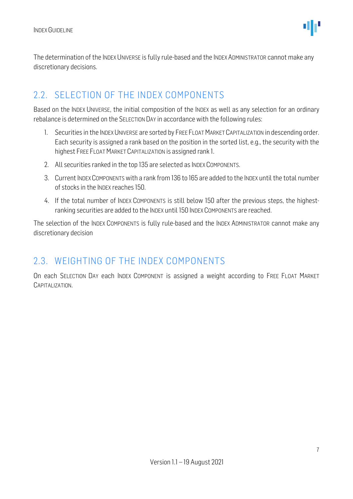The determination of the INDEX UNIVERSE is fully rule-based and the INDEX ADMINISTRATOR cannot make any discretionary decisions.

#### <span id="page-6-0"></span>2.2. SELECTION OF THE INDEX COMPONENTS

Based on the INDEX UNIVERSE, the initial composition of the INDEX as well as any selection for an ordinary rebalance is determined on the SELECTION DAY in accordance with the following rules:

- 1. Securities in the INDEX UNIVERSE are sorted by FREE FLOAT MARKET CAPITALIZATION in descending order. Each security is assigned a rank based on the position in the sorted list, e.g., the security with the highest FREE FLOAT MARKET CAPITALIZATION is assigned rank 1.
- 2. All securities ranked in the top 135 are selected as INDEX COMPONENTS.
- 3. Current INDEX COMPONENTS with a rank from 136 to 165 are added to the INDEX until the total number of stocks in the INDEX reaches 150.
- 4. If the total number of INDEX COMPONENTS is still below 150 after the previous steps, the highestranking securities are added to the INDEX until 150 INDEX COMPONENTS are reached.

The selection of the INDEX COMPONENTS is fully rule-based and the INDEX ADMINISTRATOR cannot make any discretionary decision

### <span id="page-6-1"></span>2.3. WEIGHTING OF THE INDEX COMPONENTS

On each SELECTION DAY each INDEX COMPONENT is assigned a weight according to FREE FLOAT MARKET CAPITALIZATION.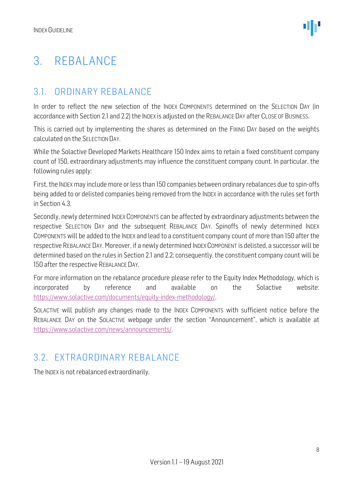# <span id="page-7-0"></span>3. REBALANCE

### <span id="page-7-1"></span>3.1. ORDINARY REBALANCE

In order to reflect the new selection of the INDEX COMPONENTS determined on the SELECTION DAY (in accordance with Section 2.1 and 2.2) the INDEX is adjusted on the REBALANCE DAY after CLOSE OF BUSINESS.

This is carried out by implementing the shares as determined on the FIXING DAY based on the weights calculated on the SELECTION DAY.

While the Solactive Developed Markets Healthcare 150 Index aims to retain a fixed constituent company count of 150, extraordinary adjustments may influence the constituent company count. In particular, the following rules apply:

First, the INDEX may include more or less than 150 companies between ordinary rebalances due to spin-offs being added to or delisted companies being removed from the INDEX in accordance with the rules set forth in Section 4.3.

Secondly, newly determined INDEX COMPONENTS can be affected by extraordinary adjustments between the respective SELECTION DAY and the subsequent REBALANCE DAY. Spinoffs of newly determined INDEX COMPONENTS will be added to the INDEX and lead to a constituent company count of more than 150 after the respective REBALANCE DAY. Moreover, if a newly determined INDEX COMPONENT is delisted, a successor will be determined based on the rules in Section 2.1 and 2.2; consequently, the constituent company count will be 150 after the respective REBALANCE DAY.

For more information on the rebalance procedure please refer to the Equity Index Methodology, which is incorporated by reference and available on the Solactive website: [https://www.solactive.com/documents/equity-index-methodology/.](https://www.solactive.com/documents/equity-index-methodology/)

SOLACTIVE will publish any changes made to the INDEX COMPONENTS with sufficient notice before the REBALANCE DAY on the SOLACTIVE webpage under the section "Announcement", which is available at [https://www.solactive.com/news/announcements/.](https://www.solactive.com/news/announcements/)

### <span id="page-7-2"></span>3.2. EXTRAORDINARY REBALANCE

The INDEX is not rebalanced extraordinarily.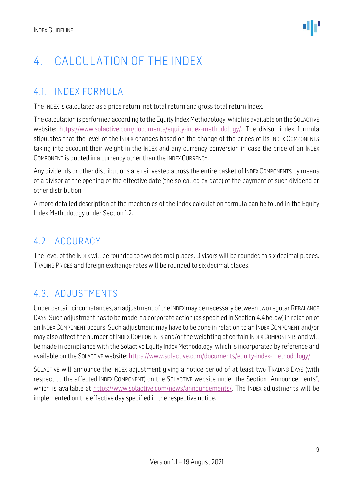# <span id="page-8-0"></span>4. CALCULATION OF THE INDEX

### <span id="page-8-1"></span>4.1. INDEX FORMULA

The INDEX is calculated as a price return, net total return and gross total return Index.

The calculation is performed according to the Equity Index Methodology, which is available on the SOLACTIVE website: [https://www.solactive.com/documents/equity-index-methodology/.](https://www.solactive.com/documents/equity-index-methodology/) The divisor index formula stipulates that the level of the INDEX changes based on the change of the prices of its INDEX COMPONENTS taking into account their weight in the INDEX and any currency conversion in case the price of an INDEX COMPONENT is quoted in a currency other than the INDEX CURRENCY.

Any dividends or other distributions are reinvested across the entire basket of INDEX COMPONENTS by means of a divisor at the opening of the effective date (the so-called ex-date) of the payment of such dividend or other distribution.

A more detailed description of the mechanics of the index calculation formula can be found in the Equity Index Methodology under Section 1.2.

### <span id="page-8-2"></span>4.2. ACCURACY

The level of the INDEX will be rounded to two decimal places. Divisors will be rounded to six decimal places. TRADING PRICES and foreign exchange rates will be rounded to six decimal places.

### <span id="page-8-3"></span>4.3. ADJUSTMENTS

Under certain circumstances, an adjustment of the INDEX may be necessary between two regular REBALANCE DAYS. Such adjustment has to be made if a corporate action (as specified in Section 4.4 below) in relation of an INDEX COMPONENT occurs. Such adjustment may have to be done in relation to an INDEX COMPONENT and/or may also affect the number of INDEX COMPONENTS and/or the weighting of certain INDEX COMPONENTS and will be made in compliance with the Solactive Equity Index Methodology, which is incorporated by reference and available on the SOLACTIVE website: [https://www.solactive.com/documents/equity-index-methodology/.](https://www.solactive.com/documents/equity-index-methodology/)

SOLACTIVE will announce the INDEX adjustment giving a notice period of at least two TRADING DAYS (with respect to the affected INDEX COMPONENT) on the SOLACTIVE website under the Section "Announcements", which is available at [https://www.solactive.com/news/announcements/.](https://www.solactive.com/news/announcements/) The INDEX adjustments will be implemented on the effective day specified in the respective notice.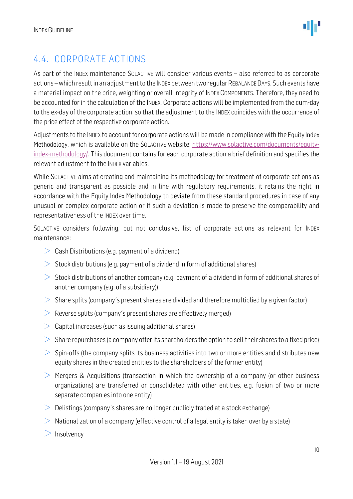

### <span id="page-9-0"></span>4.4. CORPORATE ACTIONS

As part of the INDEX maintenance SOLACTIVE will consider various events - also referred to as corporate actions –which result in an adjustment to the INDEX between two regular REBALANCE DAYS. Such events have a material impact on the price, weighting or overall integrity of INDEX COMPONENTS. Therefore, they need to be accounted for in the calculation of the INDEX. Corporate actions will be implemented from the cum-day to the ex-day of the corporate action, so that the adjustment to the INDEX coincides with the occurrence of the price effect of the respective corporate action.

Adjustments to the INDEX to account for corporate actions will be made in compliance with the Equity Index Methodology, which is available on the SOLACTIVE website: [https://www.solactive.com/documents/equity](https://www.solactive.com/documents/equity-index-methodology/)[index-methodology/.](https://www.solactive.com/documents/equity-index-methodology/) This document contains for each corporate action a brief definition and specifies the relevant adjustment to the INDEX variables.

While SOLACTIVE aims at creating and maintaining its methodology for treatment of corporate actions as generic and transparent as possible and in line with regulatory requirements, it retains the right in accordance with the Equity Index Methodology to deviate from these standard procedures in case of any unusual or complex corporate action or if such a deviation is made to preserve the comparability and representativeness of the INDEX over time.

SOLACTIVE considers following, but not conclusive, list of corporate actions as relevant for INDEX maintenance:

- $\geq$  Cash Distributions (e.g. payment of a dividend)
- $>$  Stock distributions (e.g. payment of a dividend in form of additional shares)
- $>$  Stock distributions of another company (e.g. payment of a dividend in form of additional shares of another company (e.g. of a subsidiary))
- $>$  Share splits (company's present shares are divided and therefore multiplied by a given factor)
- $\geq$  Reverse splits (company's present shares are effectively merged)
- $>$  Capital increases (such as issuing additional shares)
- $>$  Share repurchases (a company offer its shareholders the option to sell their shares to a fixed price)
- $>$  Spin-offs (the company splits its business activities into two or more entities and distributes new equity shares in the created entities to the shareholders of the former entity)
- $>$  Mergers & Acquisitions (transaction in which the ownership of a company (or other business organizations) are transferred or consolidated with other entities, e.g. fusion of two or more separate companies into one entity)
- $\geq$  Delistings (company's shares are no longer publicly traded at a stock exchange)
- $>$  Nationalization of a company (effective control of a legal entity is taken over by a state)
- $>$  Insolvency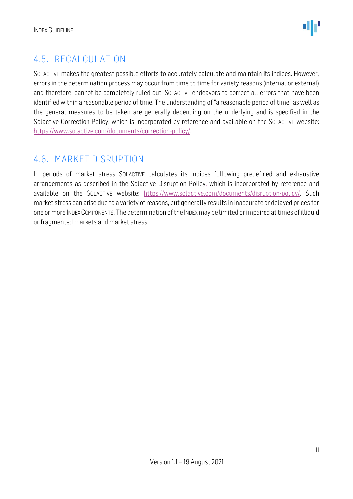### <span id="page-10-0"></span>4.5. RECALCULATION

SOLACTIVE makes the greatest possible efforts to accurately calculate and maintain its indices. However, errors in the determination process may occur from time to time for variety reasons (internal or external) and therefore, cannot be completely ruled out. SOLACTIVE endeavors to correct all errors that have been identified within a reasonable period of time. The understanding of "a reasonable period of time" as well as the general measures to be taken are generally depending on the underlying and is specified in the Solactive Correction Policy, which is incorporated by reference and available on the SOLACTIVE website: [https://www.solactive.com/documents/correction-policy/.](https://www.solactive.com/documents/correction-policy/)

### <span id="page-10-1"></span>4.6. MARKET DISRUPTION

In periods of market stress SOLACTIVE calculates its indices following predefined and exhaustive arrangements as described in the Solactive Disruption Policy, which is incorporated by reference and available on the SOLACTIVE website: [https://www.solactive.com/documents/disruption-policy/.](https://www.solactive.com/documents/disruption-policy/) Such market stress can arise due to a variety of reasons, but generally results in inaccurate or delayed prices for one or more INDEXCOMPONENTS. The determination of the INDEXmay be limited or impaired at times of illiquid or fragmented markets and market stress.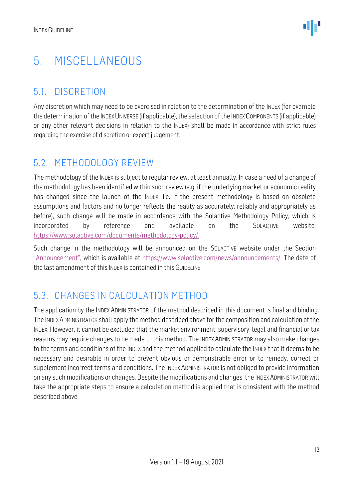# <span id="page-11-0"></span>5. MISCELLANEOUS

### <span id="page-11-1"></span>5.1. DISCRETION

Any discretion which may need to be exercised in relation to the determination of the INDEX (for example the determination of the INDEX UNIVERSE (if applicable), the selection of the INDEX COMPONENTS (if applicable) or any other relevant decisions in relation to the INDEX) shall be made in accordance with strict rules regarding the exercise of discretion or expert judgement.

### <span id="page-11-2"></span>5.2. METHODOLOGY REVIEW

The methodology of the INDEX is subject to regular review, at least annually. In case a need of a change of the methodology has been identified within such review (e.g. if the underlying market or economic reality has changed since the launch of the INDEX, i.e. if the present methodology is based on obsolete assumptions and factors and no longer reflects the reality as accurately, reliably and appropriately as before), such change will be made in accordance with the Solactive Methodology Policy, which is incorporated by reference and available on the SOLACTIVE website: [https://www.solactive.com/documents/methodology-policy/.](https://www.solactive.com/documents/methodology-policy/)

Such change in the methodology will be announced on the SOLACTIVE website under the Section "Announcement", which is available at [https://www.solactive.com/news/announcements/.](https://www.solactive.com/news/announcements/) The date of the last amendment of this INDEX is contained in this GUIDELINE.

### <span id="page-11-3"></span>5.3. CHANGES IN CALCULATION METHOD

The application by the INDEX ADMINISTRATOR of the method described in this document is final and binding. The INDEXADMINISTRATOR shall apply the method described above for the composition and calculation of the INDEX. However, it cannot be excluded that the market environment, supervisory, legal and financial or tax reasons may require changes to be made to this method. The INDEX ADMINISTRATOR may also make changes to the terms and conditions of the INDEX and the method applied to calculate the INDEX that it deems to be necessary and desirable in order to prevent obvious or demonstrable error or to remedy, correct or supplement incorrect terms and conditions. The INDEX ADMINISTRATOR is not obliged to provide information on any such modifications or changes. Despite the modifications and changes, the INDEX ADMINISTRATOR will take the appropriate steps to ensure a calculation method is applied that is consistent with the method described above.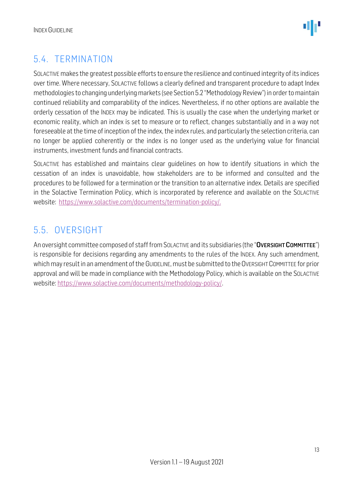

### <span id="page-12-0"></span>5.4. TERMINATION

SOLACTIVE makes the greatest possible efforts to ensure the resilience and continued integrity of its indices over time. Where necessary, SOLACTIVE follows a clearly defined and transparent procedure to adapt Index methodologies to changing underlying markets (see Section 5.2 "Methodology Review") in order to maintain continued reliability and comparability of the indices. Nevertheless, if no other options are available the orderly cessation of the INDEX may be indicated. This is usually the case when the underlying market or economic reality, which an index is set to measure or to reflect, changes substantially and in a way not foreseeable at the time of inception of the index, the index rules, and particularly the selection criteria, can no longer be applied coherently or the index is no longer used as the underlying value for financial instruments, investment funds and financial contracts.

SOLACTIVE has established and maintains clear guidelines on how to identify situations in which the cessation of an index is unavoidable, how stakeholders are to be informed and consulted and the procedures to be followed for a termination or the transition to an alternative index. Details are specified in the Solactive Termination Policy, which is incorporated by reference and available on the SOLACTIVE website: [https://www.solactive.com/documents/termination-policy/.](https://www.solactive.com/documents/termination-policy/)

### <span id="page-12-1"></span>5.5. OVERSIGHT

An oversight committee composed of staff from SOLACTIVE and its subsidiaries (the "OVERSIGHT COMMITTEE") is responsible for decisions regarding any amendments to the rules of the INDEX. Any such amendment, which may result in an amendment of the GUIDELINE, must be submitted to the OVERSIGHT COMMITTEE for prior approval and will be made in compliance with the [Methodology](http://methodology/) Policy, which is available on the SOLACTIVE website: [https://www.solactive.com/documents/methodology-policy/.](https://www.solactive.com/documents/methodology-policy/)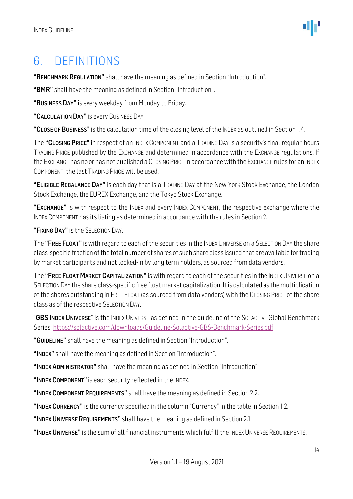### <span id="page-13-0"></span>6. DEFINITIONS

"BENCHMARK REGULATION" shall have the meaning as defined in Section "Introduction".

"BMR" shall have the meaning as defined in Section "Introduction".

"BUSINESS DAY" is every weekday from Monday to Friday.

"CALCULATION DAY" is every BUSINESS DAY.

"CLOSE OF BUSINESS" is the calculation time of the closing level of the INDEX as outlined in Section 1.4.

The "CLOSING PRICE" in respect of an INDEX COMPONENT and a TRADING DAY is a security's final regular-hours TRADING PRICE published by the EXCHANGE and determined in accordance with the EXCHANGE regulations. If the EXCHANGE has no or has not published a CLOSING PRICE in accordance with the EXCHANGE rules for an INDEX COMPONENT, the last TRADING PRICE will be used.

"ELIGIBLE REBALANCE DAY" is each day that is a TRADING DAY at the New York Stock Exchange, the London Stock Exchange, the EUREX Exchange, and the Tokyo Stock Exchange.

"EXCHANGE" is with respect to the INDEX and every INDEX COMPONENT, the respective exchange where the INDEX COMPONENT has its listing as determined in accordance with the rules in Section 2.

"FIXING DAY" is the SELECTION DAY.

The "FREE FLOAT" is with regard to each of the securities in the INDEX UNIVERSE on a SELECTION DAY the share class-specific fraction of the total number of shares of such share class issued that are available for trading by market participants and not locked-in by long term holders, as sourced from data vendors.

The "FREE FLOAT MARKET CAPITALIZATION" is with regard to each of the securities in the INDEX UNIVERSE on a SELECTION DAY the share class-specific free float market capitalization. It is calculated as the multiplication of the shares outstanding in FREE FLOAT (as sourced from data vendors) with the CLOSING PRICE of the share class as of the respective SELECTION DAY.

"GBS INDEX UNIVERSE" is the INDEX UNIVERSE as defined in the quideline of the SOLACTIVE Global Benchmark Series[: https://solactive.com/downloads/Guideline-Solactive-GBS-Benchmark-Series.pdf.](https://solactive.com/downloads/Guideline-Solactive-GBS-Benchmark-Series.pdf)

"GUIDELINE" shall have the meaning as defined in Section "Introduction".

"INDEX" shall have the meaning as defined in Section "Introduction".

"INDEX ADMINISTRATOR" shall have the meaning as defined in Section "Introduction".

"INDEX COMPONENT" is each security reflected in the INDEX.

"INDEX COMPONENT REQUIREMENTS" shall have the meaning as defined in Section 2.2.

"INDEX CURRENCY" is the currency specified in the column "Currency" in the table in Section 1.2.

"INDEX UNIVERSE REQUIREMENTS" shall have the meaning as defined in Section 2.1.

"INDEX UNIVERSE" is the sum of all financial instruments which fulfill the INDEX UNIVERSE REQUIREMENTS.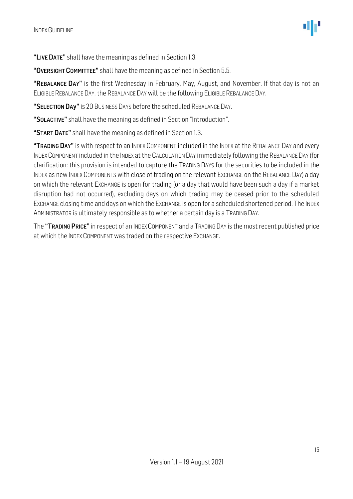"LIVE DATE" shall have the meaning as defined in Section 1.3.

"OVERSIGHT COMMITTEE" shall have the meaning as defined in Section 5.5.

"REBALANCE DAY" is the first Wednesday in February, May, August, and November. If that day is not an ELIGIBLE REBALANCE DAY, the REBALANCE DAY will be the following ELIGIBLE REBALANCE DAY.

"SELECTION DAy" is 20 BUSINESS DAYS before the scheduled REBALANCE DAY.

"SOLACTIVE" shall have the meaning as defined in Section "Introduction".

"START DATE" shall have the meaning as defined in Section 1.3.

"TRADING DAY" is with respect to an INDEX COMPONENT included in the INDEX at the REBALANCE DAY and every INDEX COMPONENT included in the INDEX at the CALCULATION DAY immediately following the REBALANCE DAY (for clarification: this provision is intended to capture the TRADING DAYS for the securities to be included in the INDEX as new INDEX COMPONENTS with close of trading on the relevant EXCHANGE on the REBALANCE DAY) a day on which the relevant EXCHANGE is open for trading (or a day that would have been such a day if a market disruption had not occurred), excluding days on which trading may be ceased prior to the scheduled EXCHANGE closing time and days on which the EXCHANGE is open for a scheduled shortened period. The INDEX ADMINISTRATOR is ultimately responsible as to whether a certain day is a TRADING DAY.

The "TRADING PRICE" in respect of an INDEX COMPONENT and a TRADING DAY is the most recent published price at which the INDEX COMPONENT was traded on the respective EXCHANGE.